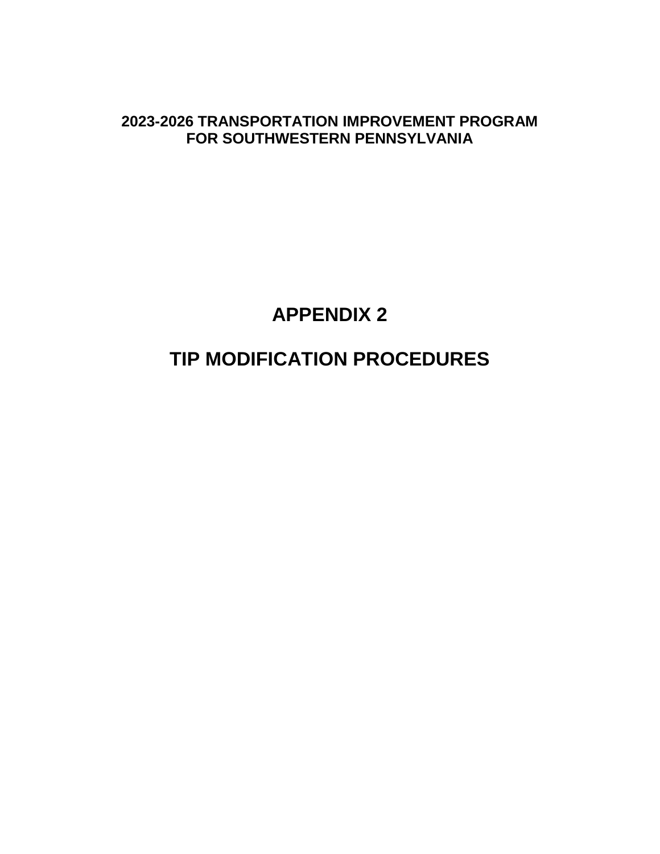**2023-2026 TRANSPORTATION IMPROVEMENT PROGRAM FOR SOUTHWESTERN PENNSYLVANIA**

# **APPENDIX 2**

# **TIP MODIFICATION PROCEDURES**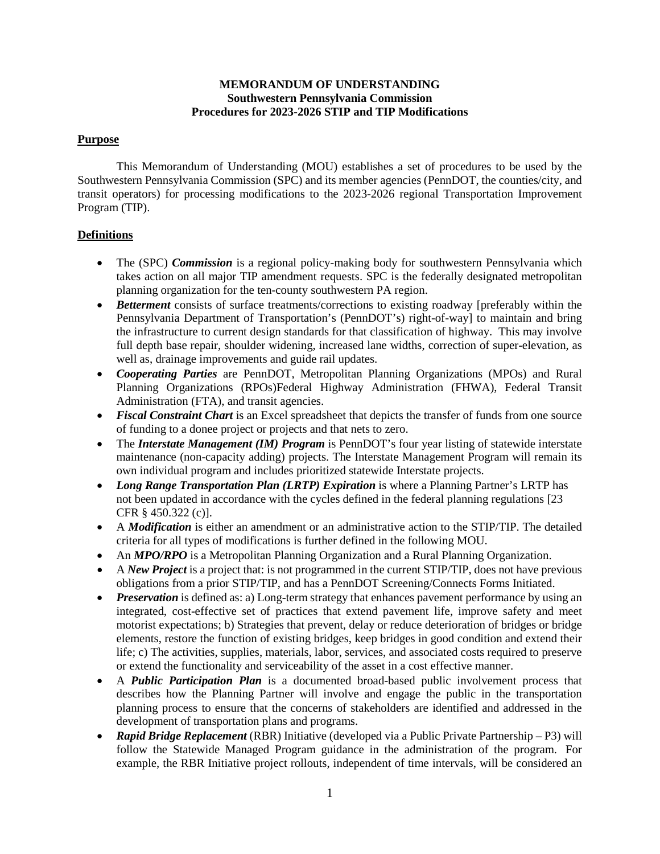## **MEMORANDUM OF UNDERSTANDING Southwestern Pennsylvania Commission Procedures for 2023-2026 STIP and TIP Modifications**

## **Purpose**

This Memorandum of Understanding (MOU) establishes a set of procedures to be used by the Southwestern Pennsylvania Commission (SPC) and its member agencies (PennDOT, the counties/city, and transit operators) for processing modifications to the 2023-2026 regional Transportation Improvement Program (TIP).

# **Definitions**

- The (SPC) *Commission* is a regional policy-making body for southwestern Pennsylvania which takes action on all major TIP amendment requests. SPC is the federally designated metropolitan planning organization for the ten-county southwestern PA region.
- *Betterment* consists of surface treatments/corrections to existing roadway [preferably within the Pennsylvania Department of Transportation's (PennDOT's) right-of-way] to maintain and bring the infrastructure to current design standards for that classification of highway. This may involve full depth base repair, shoulder widening, increased lane widths, correction of super-elevation, as well as, drainage improvements and guide rail updates.
- *Cooperating Parties* are PennDOT, Metropolitan Planning Organizations (MPOs) and Rural Planning Organizations (RPOs)Federal Highway Administration (FHWA), Federal Transit Administration (FTA), and transit agencies.
- *Fiscal Constraint Chart* is an Excel spreadsheet that depicts the transfer of funds from one source of funding to a donee project or projects and that nets to zero.
- The *Interstate Management (IM) Program* is PennDOT's four year listing of statewide interstate maintenance (non-capacity adding) projects. The Interstate Management Program will remain its own individual program and includes prioritized statewide Interstate projects.
- *Long Range Transportation Plan (LRTP) Expiration* is where a Planning Partner's LRTP has not been updated in accordance with the cycles defined in the federal planning regulations [23 CFR § 450.322 (c)].
- A *Modification* is either an amendment or an administrative action to the STIP/TIP. The detailed criteria for all types of modifications is further defined in the following MOU.
- An *MPO/RPO* is a Metropolitan Planning Organization and a Rural Planning Organization.
- A *New Project* is a project that: is not programmed in the current STIP/TIP, does not have previous obligations from a prior STIP/TIP, and has a PennDOT Screening/Connects Forms Initiated.
- *Preservation* is defined as: a) Long-term strategy that enhances pavement performance by using an integrated, cost-effective set of practices that extend pavement life, improve safety and meet motorist expectations; b) Strategies that prevent, delay or reduce deterioration of bridges or bridge elements, restore the function of existing bridges, keep bridges in good condition and extend their life; c) The activities, supplies, materials, labor, services, and associated costs required to preserve or extend the functionality and serviceability of the asset in a cost effective manner.
- A *Public Participation Plan* is a documented broad-based public involvement process that describes how the Planning Partner will involve and engage the public in the transportation planning process to ensure that the concerns of stakeholders are identified and addressed in the development of transportation plans and programs.
- *Rapid Bridge Replacement* (RBR) Initiative (developed via a Public Private Partnership P3) will follow the Statewide Managed Program guidance in the administration of the program. For example, the RBR Initiative project rollouts, independent of time intervals, will be considered an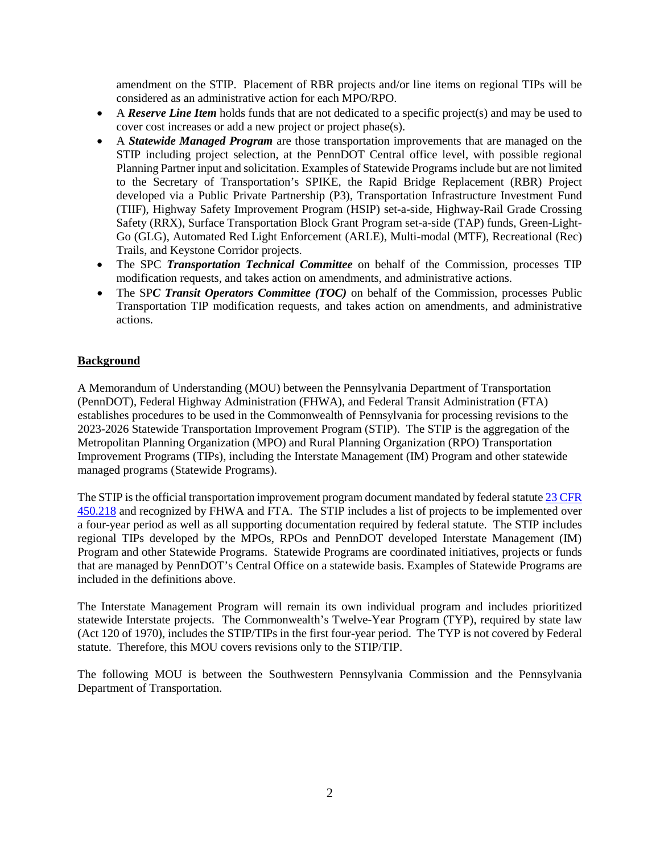amendment on the STIP. Placement of RBR projects and/or line items on regional TIPs will be considered as an administrative action for each MPO/RPO.

- A *Reserve Line Item* holds funds that are not dedicated to a specific project(s) and may be used to cover cost increases or add a new project or project phase(s).
- A *Statewide Managed Program* are those transportation improvements that are managed on the STIP including project selection, at the PennDOT Central office level, with possible regional Planning Partner input and solicitation. Examples of Statewide Programs include but are not limited to the Secretary of Transportation's SPIKE, the Rapid Bridge Replacement (RBR) Project developed via a Public Private Partnership (P3), Transportation Infrastructure Investment Fund (TIIF), Highway Safety Improvement Program (HSIP) set-a-side, Highway-Rail Grade Crossing Safety (RRX), Surface Transportation Block Grant Program set-a-side (TAP) funds, Green-Light-Go (GLG), Automated Red Light Enforcement (ARLE), Multi-modal (MTF), Recreational (Rec) Trails, and Keystone Corridor projects.
- The SPC *Transportation Technical Committee* on behalf of the Commission, processes TIP modification requests, and takes action on amendments, and administrative actions.
- The SP*C Transit Operators Committee (TOC)* on behalf of the Commission, processes Public Transportation TIP modification requests, and takes action on amendments, and administrative actions.

# **Background**

A Memorandum of Understanding (MOU) between the Pennsylvania Department of Transportation (PennDOT), Federal Highway Administration (FHWA), and Federal Transit Administration (FTA) establishes procedures to be used in the Commonwealth of Pennsylvania for processing revisions to the 2023-2026 Statewide Transportation Improvement Program (STIP). The STIP is the aggregation of the Metropolitan Planning Organization (MPO) and Rural Planning Organization (RPO) Transportation Improvement Programs (TIPs), including the Interstate Management (IM) Program and other statewide managed programs (Statewide Programs).

The STIP is the official transportation improvement program document mandated by federal statut[e 23 CFR](https://www.law.cornell.edu/cfr/text/23/450.218)  [450.218](https://www.law.cornell.edu/cfr/text/23/450.218) and recognized by FHWA and FTA. The STIP includes a list of projects to be implemented over a four-year period as well as all supporting documentation required by federal statute. The STIP includes regional TIPs developed by the MPOs, RPOs and PennDOT developed Interstate Management (IM) Program and other Statewide Programs. Statewide Programs are coordinated initiatives, projects or funds that are managed by PennDOT's Central Office on a statewide basis. Examples of Statewide Programs are included in the definitions above.

The Interstate Management Program will remain its own individual program and includes prioritized statewide Interstate projects. The Commonwealth's Twelve-Year Program (TYP), required by state law (Act 120 of 1970), includes the STIP/TIPs in the first four-year period. The TYP is not covered by Federal statute. Therefore, this MOU covers revisions only to the STIP/TIP.

The following MOU is between the Southwestern Pennsylvania Commission and the Pennsylvania Department of Transportation.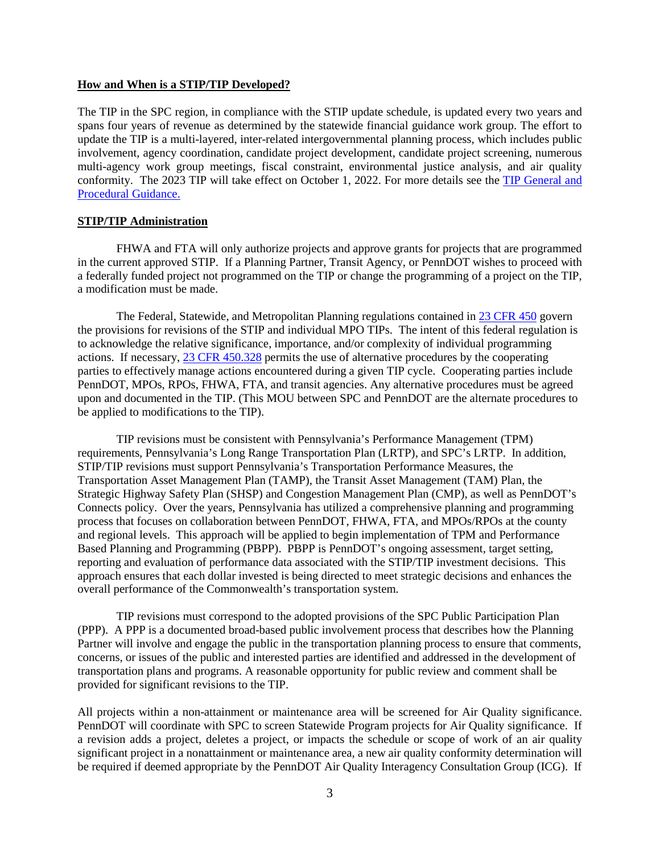#### **How and When is a STIP/TIP Developed?**

The TIP in the SPC region, in compliance with the STIP update schedule, is updated every two years and spans four years of revenue as determined by the statewide financial guidance work group. The effort to update the TIP is a multi-layered, inter-related intergovernmental planning process, which includes public involvement, agency coordination, candidate project development, candidate project screening, numerous multi-agency work group meetings, fiscal constraint, environmental justice analysis, and air quality conformity. The 2023 TIP will take effect on October 1, 2022. For more details see the [TIP General and](https://www.talkpatransportation.com/how-it-works/tip)  [Procedural Guidance.](https://www.talkpatransportation.com/how-it-works/tip)

### **STIP/TIP Administration**

FHWA and FTA will only authorize projects and approve grants for projects that are programmed in the current approved STIP. If a Planning Partner, Transit Agency, or PennDOT wishes to proceed with a federally funded project not programmed on the TIP or change the programming of a project on the TIP, a modification must be made.

The Federal, Statewide, and Metropolitan Planning regulations contained in [23 CFR 450](https://www.law.cornell.edu/cfr/text/23/part-450) govern the provisions for revisions of the STIP and individual MPO TIPs. The intent of this federal regulation is to acknowledge the relative significance, importance, and/or complexity of individual programming actions. If necessary[, 23 CFR 450.328](https://www.law.cornell.edu/cfr/text/23/450.328) permits the use of alternative procedures by the cooperating parties to effectively manage actions encountered during a given TIP cycle. Cooperating parties include PennDOT, MPOs, RPOs, FHWA, FTA, and transit agencies. Any alternative procedures must be agreed upon and documented in the TIP. (This MOU between SPC and PennDOT are the alternate procedures to be applied to modifications to the TIP).

TIP revisions must be consistent with Pennsylvania's Performance Management (TPM) requirements, Pennsylvania's Long Range Transportation Plan (LRTP), and SPC's LRTP. In addition, STIP/TIP revisions must support Pennsylvania's Transportation Performance Measures, the Transportation Asset Management Plan (TAMP), the Transit Asset Management (TAM) Plan, the Strategic Highway Safety Plan (SHSP) and Congestion Management Plan (CMP), as well as PennDOT's Connects policy. Over the years, Pennsylvania has utilized a comprehensive planning and programming process that focuses on collaboration between PennDOT, FHWA, FTA, and MPOs/RPOs at the county and regional levels. This approach will be applied to begin implementation of TPM and Performance Based Planning and Programming (PBPP). PBPP is PennDOT's ongoing assessment, target setting, reporting and evaluation of performance data associated with the STIP/TIP investment decisions. This approach ensures that each dollar invested is being directed to meet strategic decisions and enhances the overall performance of the Commonwealth's transportation system.

TIP revisions must correspond to the adopted provisions of the SPC Public Participation Plan (PPP). A PPP is a documented broad-based public involvement process that describes how the Planning Partner will involve and engage the public in the transportation planning process to ensure that comments, concerns, or issues of the public and interested parties are identified and addressed in the development of transportation plans and programs. A reasonable opportunity for public review and comment shall be provided for significant revisions to the TIP.

All projects within a non-attainment or maintenance area will be screened for Air Quality significance. PennDOT will coordinate with SPC to screen Statewide Program projects for Air Quality significance. If a revision adds a project, deletes a project, or impacts the schedule or scope of work of an air quality significant project in a nonattainment or maintenance area, a new air quality conformity determination will be required if deemed appropriate by the PennDOT Air Quality Interagency Consultation Group (ICG). If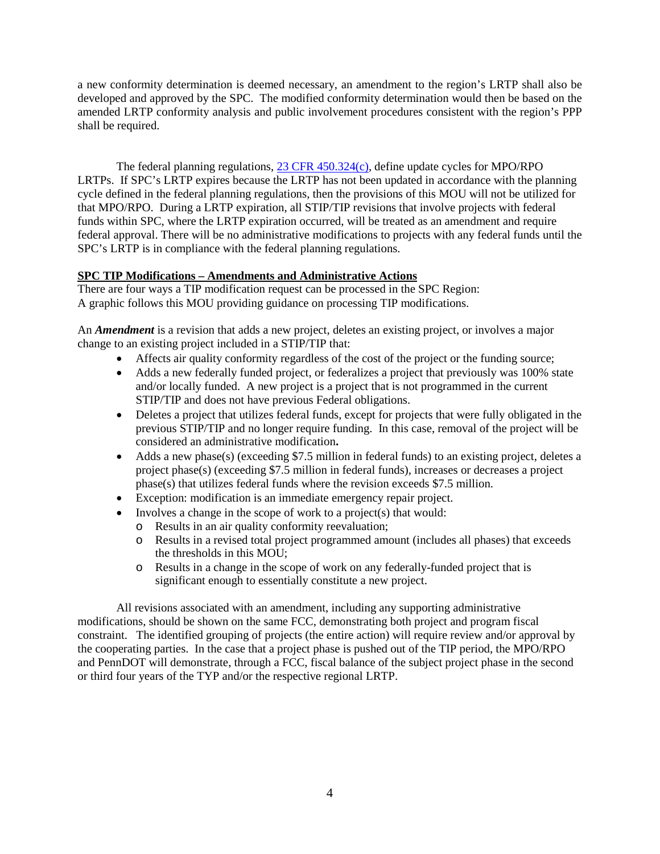a new conformity determination is deemed necessary, an amendment to the region's LRTP shall also be developed and approved by the SPC. The modified conformity determination would then be based on the amended LRTP conformity analysis and public involvement procedures consistent with the region's PPP shall be required.

The federal planning regulations, [23 CFR 450.324\(c\),](https://www.law.cornell.edu/cfr/text/23/450.324) define update cycles for MPO/RPO LRTPs. If SPC's LRTP expires because the LRTP has not been updated in accordance with the planning cycle defined in the federal planning regulations, then the provisions of this MOU will not be utilized for that MPO/RPO. During a LRTP expiration, all STIP/TIP revisions that involve projects with federal funds within SPC, where the LRTP expiration occurred, will be treated as an amendment and require federal approval. There will be no administrative modifications to projects with any federal funds until the SPC's LRTP is in compliance with the federal planning regulations.

# **SPC TIP Modifications – Amendments and Administrative Actions**

There are four ways a TIP modification request can be processed in the SPC Region: A graphic follows this MOU providing guidance on processing TIP modifications.

An *Amendment* is a revision that adds a new project, deletes an existing project, or involves a major change to an existing project included in a STIP/TIP that:

- Affects air quality conformity regardless of the cost of the project or the funding source;
- Adds a new federally funded project, or federalizes a project that previously was 100% state and/or locally funded. A new project is a project that is not programmed in the current STIP/TIP and does not have previous Federal obligations.
- Deletes a project that utilizes federal funds, except for projects that were fully obligated in the previous STIP/TIP and no longer require funding. In this case, removal of the project will be considered an administrative modification**.**
- Adds a new phase(s) (exceeding \$7.5 million in federal funds) to an existing project, deletes a project phase(s) (exceeding \$7.5 million in federal funds), increases or decreases a project phase(s) that utilizes federal funds where the revision exceeds \$7.5 million.
- Exception: modification is an immediate emergency repair project.
- Involves a change in the scope of work to a project(s) that would:
	- o Results in an air quality conformity reevaluation;
	- o Results in a revised total project programmed amount (includes all phases) that exceeds the thresholds in this MOU;
	- o Results in a change in the scope of work on any federally-funded project that is significant enough to essentially constitute a new project.

All revisions associated with an amendment, including any supporting administrative modifications, should be shown on the same FCC, demonstrating both project and program fiscal constraint. The identified grouping of projects (the entire action) will require review and/or approval by the cooperating parties. In the case that a project phase is pushed out of the TIP period, the MPO/RPO and PennDOT will demonstrate, through a FCC, fiscal balance of the subject project phase in the second or third four years of the TYP and/or the respective regional LRTP.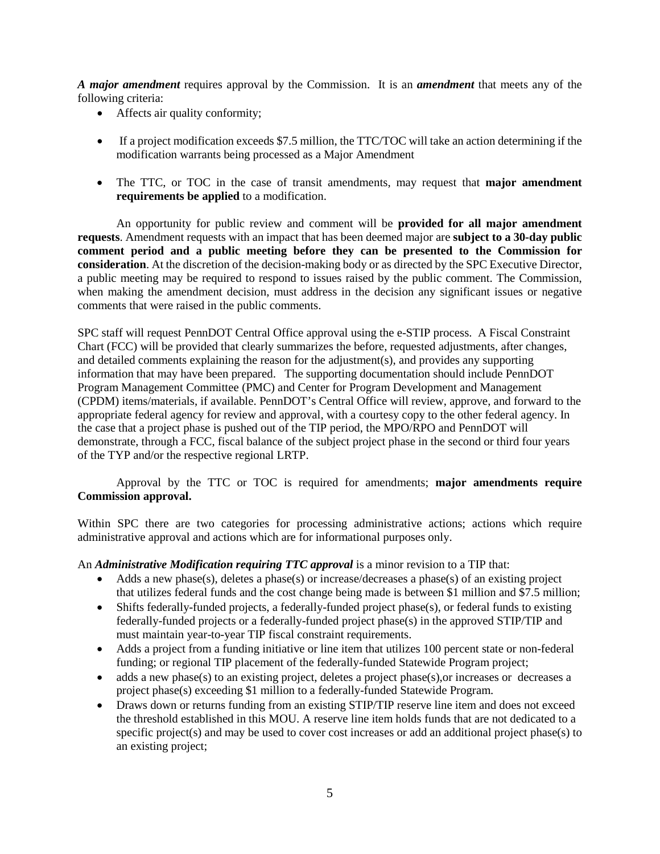*A major amendment* requires approval by the Commission. It is an *amendment* that meets any of the following criteria:

- Affects air quality conformity;
- If a project modification exceeds \$7.5 million, the TTC/TOC will take an action determining if the modification warrants being processed as a Major Amendment
- The TTC, or TOC in the case of transit amendments, may request that **major amendment requirements be applied** to a modification.

An opportunity for public review and comment will be **provided for all major amendment requests**. Amendment requests with an impact that has been deemed major are **subject to a 30-day public comment period and a public meeting before they can be presented to the Commission for consideration**. At the discretion of the decision-making body or as directed by the SPC Executive Director, a public meeting may be required to respond to issues raised by the public comment. The Commission, when making the amendment decision, must address in the decision any significant issues or negative comments that were raised in the public comments.

SPC staff will request PennDOT Central Office approval using the e-STIP process. A Fiscal Constraint Chart (FCC) will be provided that clearly summarizes the before, requested adjustments, after changes, and detailed comments explaining the reason for the adjustment(s), and provides any supporting information that may have been prepared. The supporting documentation should include PennDOT Program Management Committee (PMC) and Center for Program Development and Management (CPDM) items/materials, if available. PennDOT's Central Office will review, approve, and forward to the appropriate federal agency for review and approval, with a courtesy copy to the other federal agency. In the case that a project phase is pushed out of the TIP period, the MPO/RPO and PennDOT will demonstrate, through a FCC, fiscal balance of the subject project phase in the second or third four years of the TYP and/or the respective regional LRTP.

 Approval by the TTC or TOC is required for amendments; **major amendments require Commission approval.**

Within SPC there are two categories for processing administrative actions; actions which require administrative approval and actions which are for informational purposes only.

An *Administrative Modification requiring TTC approval* is a minor revision to a TIP that:

- Adds a new phase(s), deletes a phase(s) or increase/decreases a phase(s) of an existing project that utilizes federal funds and the cost change being made is between \$1 million and \$7.5 million;
- Shifts federally-funded projects, a federally-funded project phase(s), or federal funds to existing federally-funded projects or a federally-funded project phase(s) in the approved STIP/TIP and must maintain year-to-year TIP fiscal constraint requirements.
- Adds a project from a funding initiative or line item that utilizes 100 percent state or non-federal funding; or regional TIP placement of the federally-funded Statewide Program project;
- adds a new phase(s) to an existing project, deletes a project phase(s), or increases or decreases a project phase(s) exceeding \$1 million to a federally-funded Statewide Program.
- Draws down or returns funding from an existing STIP/TIP reserve line item and does not exceed the threshold established in this MOU. A reserve line item holds funds that are not dedicated to a specific project(s) and may be used to cover cost increases or add an additional project phase(s) to an existing project;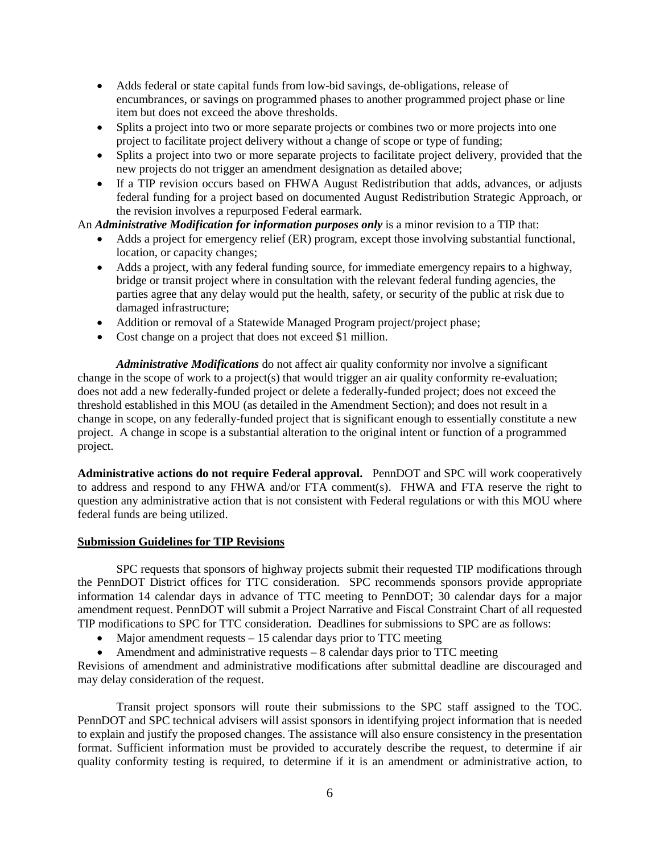- Adds federal or state capital funds from low-bid savings, de-obligations, release of encumbrances, or savings on programmed phases to another programmed project phase or line item but does not exceed the above thresholds.
- Splits a project into two or more separate projects or combines two or more projects into one project to facilitate project delivery without a change of scope or type of funding;
- Splits a project into two or more separate projects to facilitate project delivery, provided that the new projects do not trigger an amendment designation as detailed above;
- If a TIP revision occurs based on FHWA August Redistribution that adds, advances, or adjusts federal funding for a project based on documented August Redistribution Strategic Approach, or the revision involves a repurposed Federal earmark.

An *Administrative Modification for information purposes only* is a minor revision to a TIP that:

- Adds a project for emergency relief (ER) program, except those involving substantial functional, location, or capacity changes;
- Adds a project, with any federal funding source, for immediate emergency repairs to a highway, bridge or transit project where in consultation with the relevant federal funding agencies, the parties agree that any delay would put the health, safety, or security of the public at risk due to damaged infrastructure;
- Addition or removal of a Statewide Managed Program project/project phase;
- Cost change on a project that does not exceed \$1 million.

*Administrative Modifications* do not affect air quality conformity nor involve a significant change in the scope of work to a project(s) that would trigger an air quality conformity re-evaluation; does not add a new federally-funded project or delete a federally-funded project; does not exceed the threshold established in this MOU (as detailed in the Amendment Section); and does not result in a change in scope, on any federally-funded project that is significant enough to essentially constitute a new project. A change in scope is a substantial alteration to the original intent or function of a programmed project.

**Administrative actions do not require Federal approval.** PennDOT and SPC will work cooperatively to address and respond to any FHWA and/or FTA comment(s). FHWA and FTA reserve the right to question any administrative action that is not consistent with Federal regulations or with this MOU where federal funds are being utilized.

## **Submission Guidelines for TIP Revisions**

SPC requests that sponsors of highway projects submit their requested TIP modifications through the PennDOT District offices for TTC consideration. SPC recommends sponsors provide appropriate information 14 calendar days in advance of TTC meeting to PennDOT; 30 calendar days for a major amendment request. PennDOT will submit a Project Narrative and Fiscal Constraint Chart of all requested TIP modifications to SPC for TTC consideration. Deadlines for submissions to SPC are as follows:

- Major amendment requests 15 calendar days prior to TTC meeting
- Amendment and administrative requests 8 calendar days prior to TTC meeting

Revisions of amendment and administrative modifications after submittal deadline are discouraged and may delay consideration of the request.

Transit project sponsors will route their submissions to the SPC staff assigned to the TOC. PennDOT and SPC technical advisers will assist sponsors in identifying project information that is needed to explain and justify the proposed changes. The assistance will also ensure consistency in the presentation format. Sufficient information must be provided to accurately describe the request, to determine if air quality conformity testing is required, to determine if it is an amendment or administrative action, to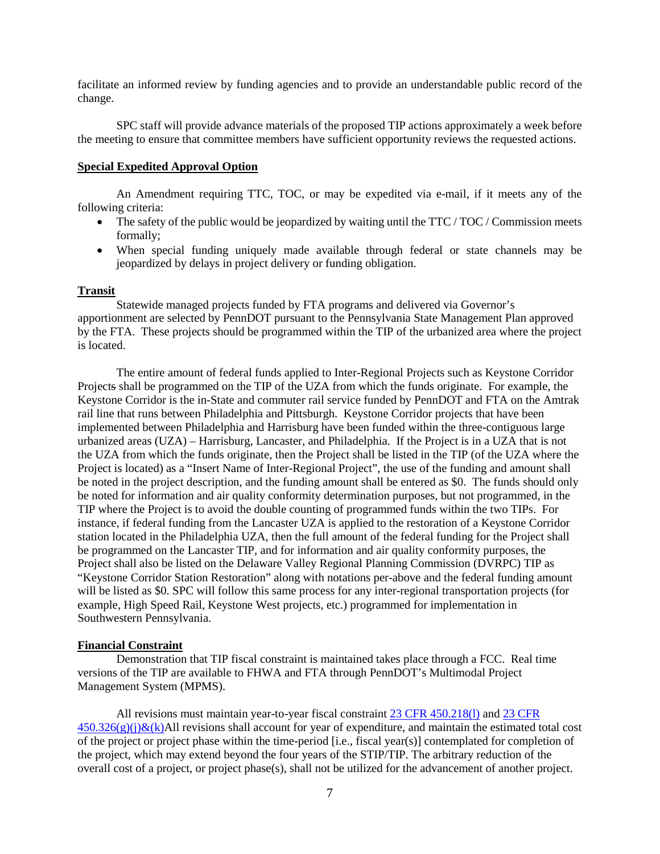facilitate an informed review by funding agencies and to provide an understandable public record of the change.

SPC staff will provide advance materials of the proposed TIP actions approximately a week before the meeting to ensure that committee members have sufficient opportunity reviews the requested actions.

### **Special Expedited Approval Option**

An Amendment requiring TTC, TOC, or may be expedited via e-mail, if it meets any of the following criteria:

- The safety of the public would be jeopardized by waiting until the  $TTC/TOC/Commission$  meets formally;
- When special funding uniquely made available through federal or state channels may be jeopardized by delays in project delivery or funding obligation.

#### **Transit**

Statewide managed projects funded by FTA programs and delivered via Governor's apportionment are selected by PennDOT pursuant to the Pennsylvania State Management Plan approved by the FTA. These projects should be programmed within the TIP of the urbanized area where the project is located.

The entire amount of federal funds applied to Inter-Regional Projects such as Keystone Corridor Projects shall be programmed on the TIP of the UZA from which the funds originate. For example, the Keystone Corridor is the in-State and commuter rail service funded by PennDOT and FTA on the Amtrak rail line that runs between Philadelphia and Pittsburgh. Keystone Corridor projects that have been implemented between Philadelphia and Harrisburg have been funded within the three-contiguous large urbanized areas (UZA) – Harrisburg, Lancaster, and Philadelphia. If the Project is in a UZA that is not the UZA from which the funds originate, then the Project shall be listed in the TIP (of the UZA where the Project is located) as a "Insert Name of Inter-Regional Project", the use of the funding and amount shall be noted in the project description, and the funding amount shall be entered as \$0. The funds should only be noted for information and air quality conformity determination purposes, but not programmed, in the TIP where the Project is to avoid the double counting of programmed funds within the two TIPs. For instance, if federal funding from the Lancaster UZA is applied to the restoration of a Keystone Corridor station located in the Philadelphia UZA, then the full amount of the federal funding for the Project shall be programmed on the Lancaster TIP, and for information and air quality conformity purposes, the Project shall also be listed on the Delaware Valley Regional Planning Commission (DVRPC) TIP as "Keystone Corridor Station Restoration" along with notations per-above and the federal funding amount will be listed as \$0. SPC will follow this same process for any inter-regional transportation projects (for example, High Speed Rail, Keystone West projects, etc.) programmed for implementation in Southwestern Pennsylvania.

#### **Financial Constraint**

Demonstration that TIP fiscal constraint is maintained takes place through a FCC. Real time versions of the TIP are available to FHWA and FTA through PennDOT's Multimodal Project Management System (MPMS).

All revisions must maintain year-to-year fiscal constraint [23 CFR 450.218\(l\)](https://www.law.cornell.edu/cfr/text/23/450.218) an[d 23 CFR](https://www.law.cornell.edu/cfr/text/23/450.326)   $450.326(g)(j) & (k)$ All revisions shall account for year of expenditure, and maintain the estimated total cost of the project or project phase within the time-period [i.e., fiscal year(s)] contemplated for completion of the project, which may extend beyond the four years of the STIP/TIP. The arbitrary reduction of the overall cost of a project, or project phase(s), shall not be utilized for the advancement of another project.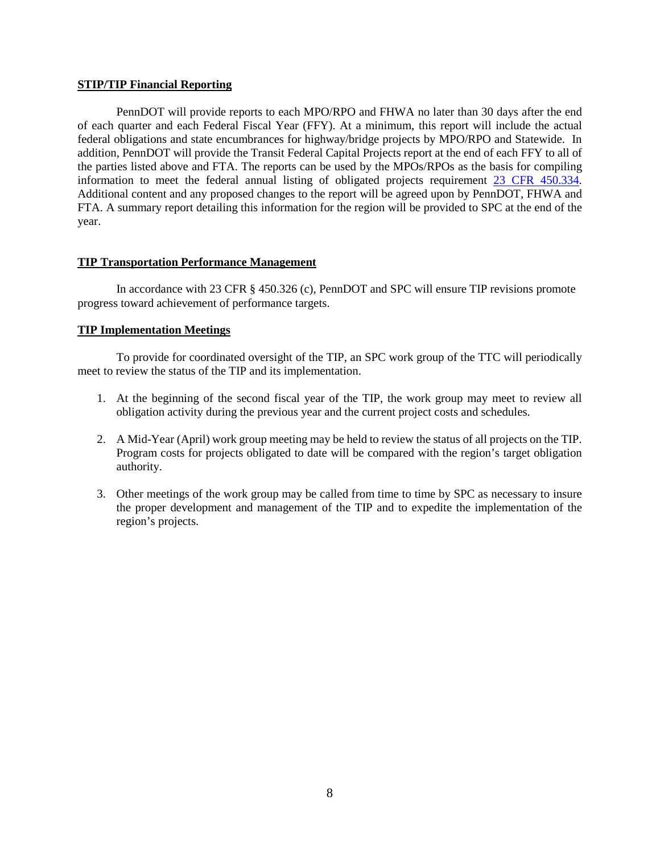#### **STIP/TIP Financial Reporting**

PennDOT will provide reports to each MPO/RPO and FHWA no later than 30 days after the end of each quarter and each Federal Fiscal Year (FFY). At a minimum, this report will include the actual federal obligations and state encumbrances for highway/bridge projects by MPO/RPO and Statewide. In addition, PennDOT will provide the Transit Federal Capital Projects report at the end of each FFY to all of the parties listed above and FTA. The reports can be used by the MPOs/RPOs as the basis for compiling information to meet the federal annual listing of obligated projects requirement [23 CFR 450.334.](https://www.law.cornell.edu/cfr/text/23/450.334)  Additional content and any proposed changes to the report will be agreed upon by PennDOT, FHWA and FTA. A summary report detailing this information for the region will be provided to SPC at the end of the year.

### **TIP Transportation Performance Management**

In accordance with 23 CFR § 450.326 (c), PennDOT and SPC will ensure TIP revisions promote progress toward achievement of performance targets.

### **TIP Implementation Meetings**

To provide for coordinated oversight of the TIP, an SPC work group of the TTC will periodically meet to review the status of the TIP and its implementation.

- 1. At the beginning of the second fiscal year of the TIP, the work group may meet to review all obligation activity during the previous year and the current project costs and schedules.
- 2. A Mid-Year (April) work group meeting may be held to review the status of all projects on the TIP. Program costs for projects obligated to date will be compared with the region's target obligation authority.
- 3. Other meetings of the work group may be called from time to time by SPC as necessary to insure the proper development and management of the TIP and to expedite the implementation of the region's projects.